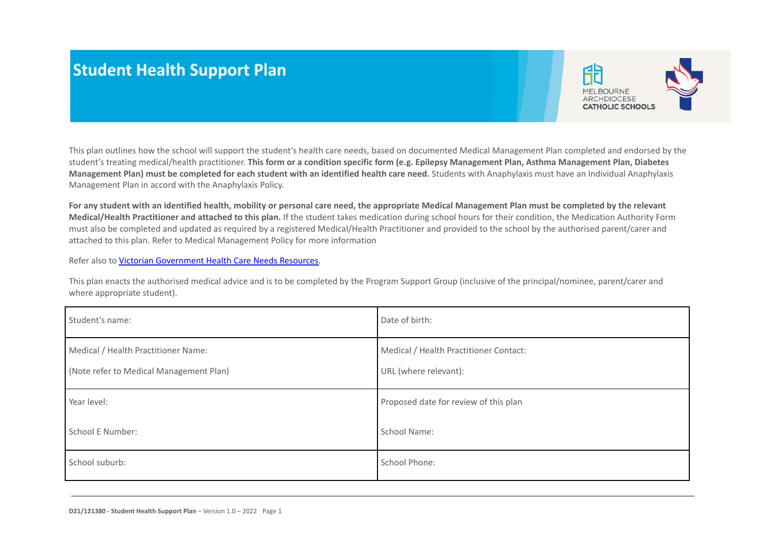# **Student Health Support Plan**



This plan outlines how the school will support the student's health care needs, based on documented Medical Management Plan completed and endorsed by the student's treating medical/health practitioner. **This form or a condition specific form (e.g. Epilepsy Management Plan, Asthma Management Plan, Diabetes Management Plan) must be completed for each student with an identified health care need.** Students with Anaphylaxis must have an Individual Anaphylaxis Management Plan in accord with the Anaphylaxis Policy.

**For any student with an identified health, mobility or personal care need, the appropriate Medical Management Plan must be completed by the relevant Medical/Health Practitioner and attached to this plan.** If the student takes medication during school hours for their condition, the [Medication Authority Form](https://cevn.cecv.catholic.edu.au/Melb/Document-File/Compliance/Policies/MACS-Policies/student-welfare/medication-authority-form.DOCX) must also be completed and updated as required by a registered Medical/Health Practitioner and provided to the school by the authorised parent/carer and attached to this plan. Refer to Medical Management Policy for more information

Refer also to [Victorian Government Health Care Needs](https://www2.education.vic.gov.au/pal/health-care-needs/resources) Resources.

This plan enacts the authorised medical advice and is to be completed by the Program Support Group (inclusive of the principal/nominee, parent/carer and where appropriate student).

| Student's name:                                                                | Date of birth:                                                  |
|--------------------------------------------------------------------------------|-----------------------------------------------------------------|
| Medical / Health Practitioner Name:<br>(Note refer to Medical Management Plan) | Medical / Health Practitioner Contact:<br>URL (where relevant): |
| Year level:                                                                    | Proposed date for review of this plan                           |
| School E Number:                                                               | School Name:                                                    |
| School suburb:                                                                 | School Phone:                                                   |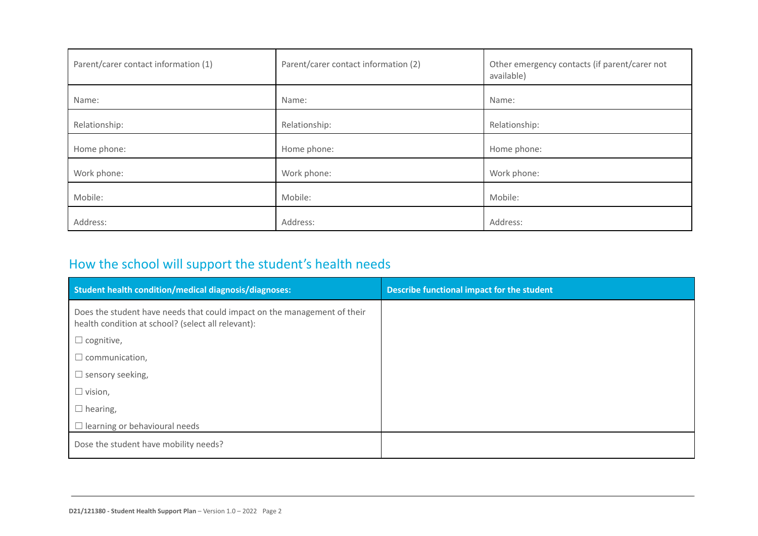| Parent/carer contact information (1) | Parent/carer contact information (2) | Other emergency contacts (if parent/carer not<br>available) |
|--------------------------------------|--------------------------------------|-------------------------------------------------------------|
| Name:                                | Name:                                | Name:                                                       |
| Relationship:                        | Relationship:                        | Relationship:                                               |
| Home phone:                          | Home phone:                          | Home phone:                                                 |
| Work phone:                          | Work phone:                          | Work phone:                                                 |
| Mobile:                              | Mobile:                              | Mobile:                                                     |
| Address:                             | Address:                             | Address:                                                    |

# How the school will support the student's health needs

| Student health condition/medical diagnosis/diagnoses:                                                                          | Describe functional impact for the student |
|--------------------------------------------------------------------------------------------------------------------------------|--------------------------------------------|
| Does the student have needs that could impact on the management of their<br>health condition at school? (select all relevant): |                                            |
| $\Box$ cognitive,                                                                                                              |                                            |
| $\Box$ communication,                                                                                                          |                                            |
| $\Box$ sensory seeking,                                                                                                        |                                            |
| $\Box$ vision,                                                                                                                 |                                            |
| $\Box$ hearing,                                                                                                                |                                            |
| $\Box$ learning or behavioural needs                                                                                           |                                            |
| Dose the student have mobility needs?                                                                                          |                                            |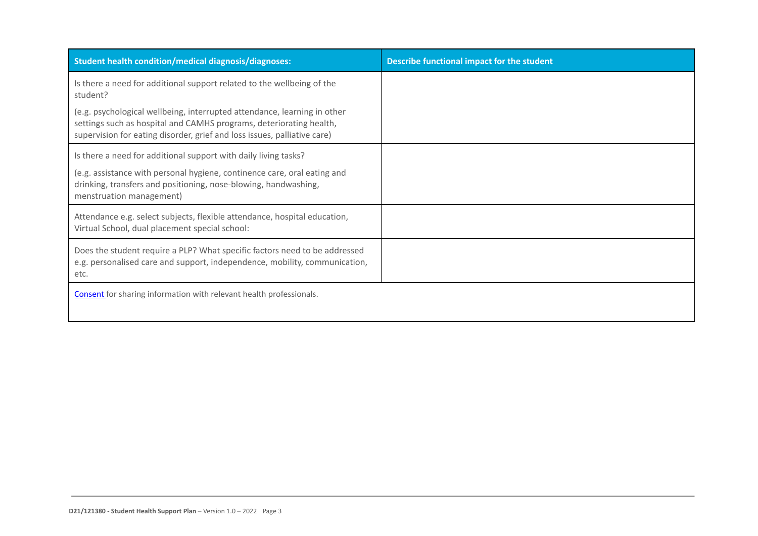| <b>Student health condition/medical diagnosis/diagnoses:</b>                                                                                                                                                                | Describe functional impact for the student |
|-----------------------------------------------------------------------------------------------------------------------------------------------------------------------------------------------------------------------------|--------------------------------------------|
| Is there a need for additional support related to the wellbeing of the<br>student?                                                                                                                                          |                                            |
| (e.g. psychological wellbeing, interrupted attendance, learning in other<br>settings such as hospital and CAMHS programs, deteriorating health,<br>supervision for eating disorder, grief and loss issues, palliative care) |                                            |
| Is there a need for additional support with daily living tasks?                                                                                                                                                             |                                            |
| (e.g. assistance with personal hygiene, continence care, oral eating and<br>drinking, transfers and positioning, nose-blowing, handwashing,<br>menstruation management)                                                     |                                            |
| Attendance e.g. select subjects, flexible attendance, hospital education,<br>Virtual School, dual placement special school:                                                                                                 |                                            |
| Does the student require a PLP? What specific factors need to be addressed<br>e.g. personalised care and support, independence, mobility, communication,<br>etc.                                                            |                                            |
| <b>Consent</b> for sharing information with relevant health professionals.                                                                                                                                                  |                                            |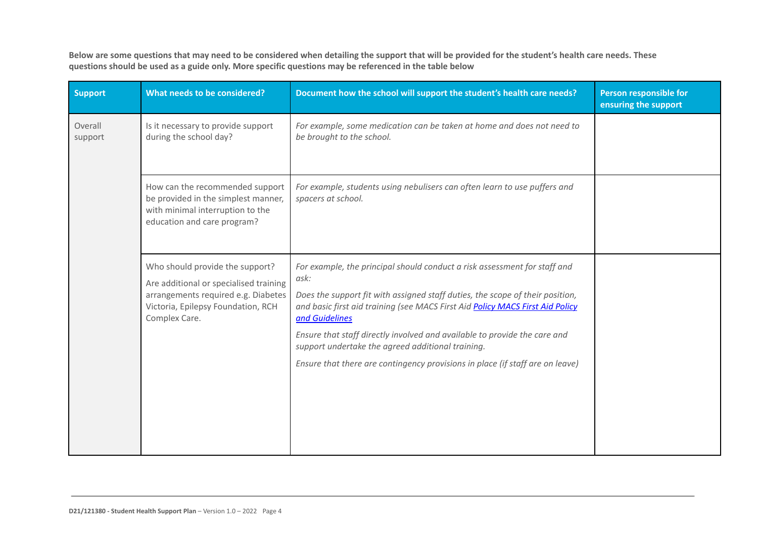**Below are some questions that may need to be considered when detailing the support that will be provided for the student's health care needs. These questions should be used as a guide only. More specific questions may be referenced in the table below**

| <b>Support</b>     | What needs to be considered?                                                                                                                                            | Document how the school will support the student's health care needs?                                                                                                                                                                                                                                                                                                                                                                                                                    | <b>Person responsible for</b><br>ensuring the support |
|--------------------|-------------------------------------------------------------------------------------------------------------------------------------------------------------------------|------------------------------------------------------------------------------------------------------------------------------------------------------------------------------------------------------------------------------------------------------------------------------------------------------------------------------------------------------------------------------------------------------------------------------------------------------------------------------------------|-------------------------------------------------------|
| Overall<br>support | Is it necessary to provide support<br>during the school day?                                                                                                            | For example, some medication can be taken at home and does not need to<br>be brought to the school.                                                                                                                                                                                                                                                                                                                                                                                      |                                                       |
|                    | How can the recommended support<br>be provided in the simplest manner,<br>with minimal interruption to the<br>education and care program?                               | For example, students using nebulisers can often learn to use puffers and<br>spacers at school.                                                                                                                                                                                                                                                                                                                                                                                          |                                                       |
|                    | Who should provide the support?<br>Are additional or specialised training<br>arrangements required e.g. Diabetes<br>Victoria, Epilepsy Foundation, RCH<br>Complex Care. | For example, the principal should conduct a risk assessment for staff and<br>ask:<br>Does the support fit with assigned staff duties, the scope of their position,<br>and basic first aid training (see MACS First Aid Policy MACS First Aid Policy<br>and Guidelines<br>Ensure that staff directly involved and available to provide the care and<br>support undertake the agreed additional training.<br>Ensure that there are contingency provisions in place (if staff are on leave) |                                                       |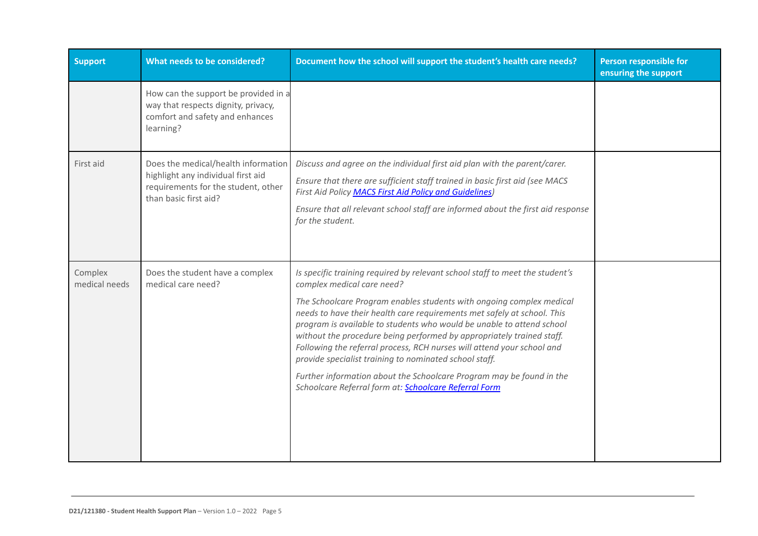| <b>Support</b>           | What needs to be considered?                                                                                                              | Document how the school will support the student's health care needs?                                                                                                                                                                                                                                                                                                                                                                                                                                                                                                                                                                                                                       | Person responsible for<br>ensuring the support |
|--------------------------|-------------------------------------------------------------------------------------------------------------------------------------------|---------------------------------------------------------------------------------------------------------------------------------------------------------------------------------------------------------------------------------------------------------------------------------------------------------------------------------------------------------------------------------------------------------------------------------------------------------------------------------------------------------------------------------------------------------------------------------------------------------------------------------------------------------------------------------------------|------------------------------------------------|
|                          | How can the support be provided in a<br>way that respects dignity, privacy,<br>comfort and safety and enhances<br>learning?               |                                                                                                                                                                                                                                                                                                                                                                                                                                                                                                                                                                                                                                                                                             |                                                |
| First aid                | Does the medical/health information<br>highlight any individual first aid<br>requirements for the student, other<br>than basic first aid? | Discuss and agree on the individual first aid plan with the parent/carer.<br>Ensure that there are sufficient staff trained in basic first aid (see MACS<br>First Aid Policy MACS First Aid Policy and Guidelines)<br>Ensure that all relevant school staff are informed about the first aid response<br>for the student.                                                                                                                                                                                                                                                                                                                                                                   |                                                |
| Complex<br>medical needs | Does the student have a complex<br>medical care need?                                                                                     | Is specific training required by relevant school staff to meet the student's<br>complex medical care need?<br>The Schoolcare Program enables students with ongoing complex medical<br>needs to have their health care requirements met safely at school. This<br>program is available to students who would be unable to attend school<br>without the procedure being performed by appropriately trained staff.<br>Following the referral process, RCH nurses will attend your school and<br>provide specialist training to nominated school staff.<br>Further information about the Schoolcare Program may be found in the<br>Schoolcare Referral form at: <b>Schoolcare Referral Form</b> |                                                |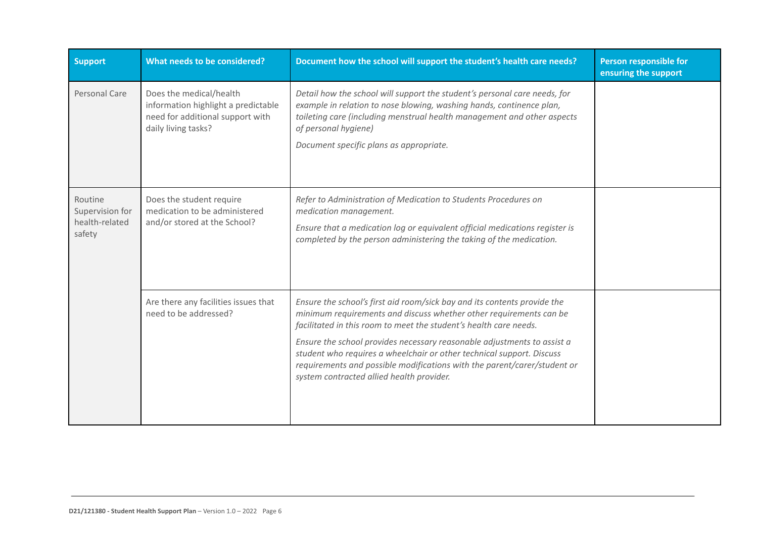| <b>Support</b>                                         | What needs to be considered?                                                                                              | Document how the school will support the student's health care needs?                                                                                                                                                                                                                                                                                                                                                                                                                            | Person responsible for<br>ensuring the support |
|--------------------------------------------------------|---------------------------------------------------------------------------------------------------------------------------|--------------------------------------------------------------------------------------------------------------------------------------------------------------------------------------------------------------------------------------------------------------------------------------------------------------------------------------------------------------------------------------------------------------------------------------------------------------------------------------------------|------------------------------------------------|
| Personal Care                                          | Does the medical/health<br>information highlight a predictable<br>need for additional support with<br>daily living tasks? | Detail how the school will support the student's personal care needs, for<br>example in relation to nose blowing, washing hands, continence plan,<br>toileting care (including menstrual health management and other aspects<br>of personal hygiene)<br>Document specific plans as appropriate.                                                                                                                                                                                                  |                                                |
| Routine<br>Supervision for<br>health-related<br>safety | Does the student require<br>medication to be administered<br>and/or stored at the School?                                 | Refer to Administration of Medication to Students Procedures on<br>medication management.<br>Ensure that a medication log or equivalent official medications register is<br>completed by the person administering the taking of the medication.                                                                                                                                                                                                                                                  |                                                |
|                                                        | Are there any facilities issues that<br>need to be addressed?                                                             | Ensure the school's first aid room/sick bay and its contents provide the<br>minimum requirements and discuss whether other requirements can be<br>facilitated in this room to meet the student's health care needs.<br>Ensure the school provides necessary reasonable adjustments to assist a<br>student who requires a wheelchair or other technical support. Discuss<br>requirements and possible modifications with the parent/carer/student or<br>system contracted allied health provider. |                                                |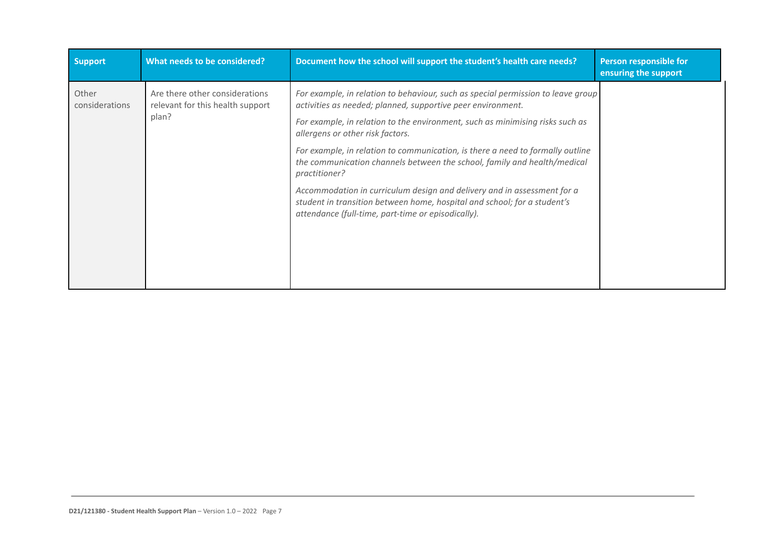| <b>Support</b>          | What needs to be considered?                                       | Document how the school will support the student's health care needs?                                                                                                                                     | Person responsible for<br>ensuring the support |
|-------------------------|--------------------------------------------------------------------|-----------------------------------------------------------------------------------------------------------------------------------------------------------------------------------------------------------|------------------------------------------------|
| Other<br>considerations | Are there other considerations<br>relevant for this health support | For example, in relation to behaviour, such as special permission to leave group<br>activities as needed; planned, supportive peer environment.                                                           |                                                |
|                         | plan?                                                              | For example, in relation to the environment, such as minimising risks such as<br>allergens or other risk factors.                                                                                         |                                                |
|                         |                                                                    | For example, in relation to communication, is there a need to formally outline<br>the communication channels between the school, family and health/medical<br>practitioner?                               |                                                |
|                         |                                                                    | Accommodation in curriculum design and delivery and in assessment for a<br>student in transition between home, hospital and school; for a student's<br>attendance (full-time, part-time or episodically). |                                                |
|                         |                                                                    |                                                                                                                                                                                                           |                                                |
|                         |                                                                    |                                                                                                                                                                                                           |                                                |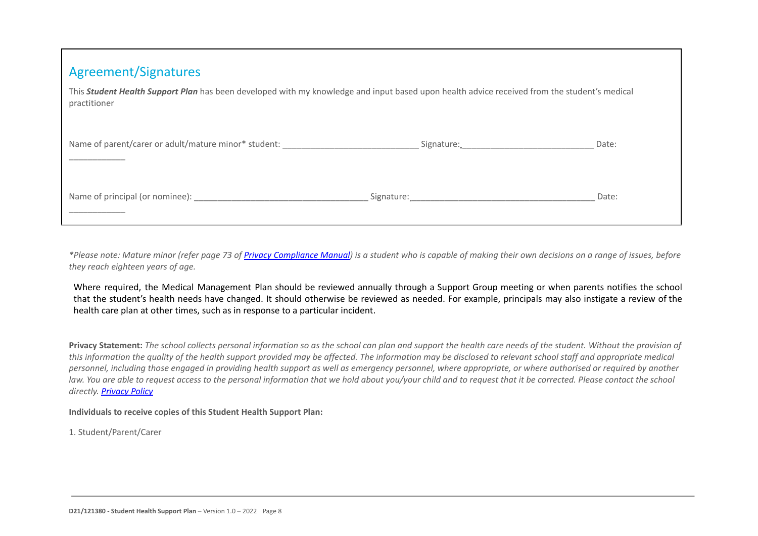This *Student Health Support Plan* has been developed with my knowledge and input based upon health advice received from the student's medical practitioner

| Name of parent/carer or adult/mature minor* student: | Signature: Signature: | Date: |
|------------------------------------------------------|-----------------------|-------|
|                                                      |                       |       |
| Name of principal (or nominee):                      | Signature:            | Date: |

*\*Please note: Mature minor (refer page 73 of Privacy [Compliance Manua](https://cevn.cecv.catholic.edu.au/Melb/Document-File/Polices-Compliance-and-Legal/Privacy/Privacy-Compliance-Manual.aspx)l) is a student who is capable of making their own decisions on a range of issues, before they reach eighteen years of age.*

Where required, the Medical Management Plan should be reviewed annually through a Support Group meeting or when parents notifies the school that the student's health needs have changed. It should otherwise be reviewed as needed. For example, principals may also instigate a review of the health care plan at other times, such as in response to a particular incident.

**Privacy Statement:** *The school collects personal information so as the school can plan and support the health care needs of the student. Without the provision of this information the quality of the health support provided may be affected. The information may be disclosed to relevant school staff and appropriate medical personnel, including those engaged in providing health support as well as emergency personnel, where appropriate, or where authorised or required by another law. You are able to request access to the personal information that we hold about you/your child and to request that it be corrected. Please contact the school directly. [Privacy Policy](https://cevn.cecv.catholic.edu.au/Melb/Document-File/Polices-Compliance-and-Legal/Policies/MACS-Policies/enrolment/School-Privacy-Policy.DOCX)*

#### **Individuals to receive copies of this Student Health Support Plan:**

1. Student/Parent/Carer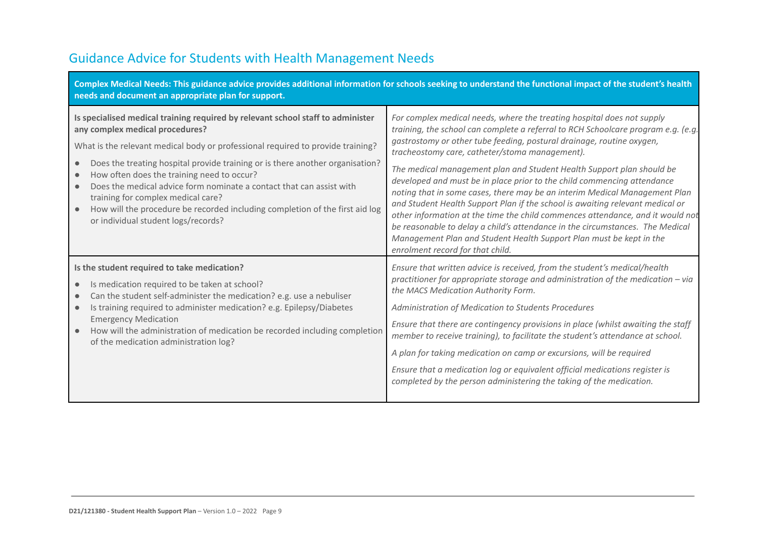## Guidance Advice for Students with Health Management Needs

| Complex Medical Needs: This guidance advice provides additional information for schools seeking to understand the functional impact of the student's health<br>needs and document an appropriate plan for support.                                                                                                                                                                                                                                                                                                                                                                                  |                                                                                                                                                                                                                                                                                                                                                                                                                                                                                                                                                                                                                                                                                                                                                                                                                                                                                         |
|-----------------------------------------------------------------------------------------------------------------------------------------------------------------------------------------------------------------------------------------------------------------------------------------------------------------------------------------------------------------------------------------------------------------------------------------------------------------------------------------------------------------------------------------------------------------------------------------------------|-----------------------------------------------------------------------------------------------------------------------------------------------------------------------------------------------------------------------------------------------------------------------------------------------------------------------------------------------------------------------------------------------------------------------------------------------------------------------------------------------------------------------------------------------------------------------------------------------------------------------------------------------------------------------------------------------------------------------------------------------------------------------------------------------------------------------------------------------------------------------------------------|
| Is specialised medical training required by relevant school staff to administer<br>any complex medical procedures?<br>What is the relevant medical body or professional required to provide training?<br>Does the treating hospital provide training or is there another organisation?<br>$\bullet$<br>How often does the training need to occur?<br>$\bullet$<br>Does the medical advice form nominate a contact that can assist with<br>training for complex medical care?<br>How will the procedure be recorded including completion of the first aid log<br>or individual student logs/records? | For complex medical needs, where the treating hospital does not supply<br>training, the school can complete a referral to RCH Schoolcare program e.g. (e.g.<br>gastrostomy or other tube feeding, postural drainage, routine oxygen,<br>tracheostomy care, catheter/stoma management).<br>The medical management plan and Student Health Support plan should be<br>developed and must be in place prior to the child commencing attendance<br>noting that in some cases, there may be an interim Medical Management Plan<br>and Student Health Support Plan if the school is awaiting relevant medical or<br>other information at the time the child commences attendance, and it would not<br>be reasonable to delay a child's attendance in the circumstances. The Medical<br>Management Plan and Student Health Support Plan must be kept in the<br>enrolment record for that child. |
| Is the student required to take medication?<br>Is medication required to be taken at school?<br>Can the student self-administer the medication? e.g. use a nebuliser<br>Is training required to administer medication? e.g. Epilepsy/Diabetes<br>$\bullet$<br><b>Emergency Medication</b><br>How will the administration of medication be recorded including completion<br>of the medication administration log?                                                                                                                                                                                    | Ensure that written advice is received, from the student's medical/health<br>practitioner for appropriate storage and administration of the medication - via<br>the MACS Medication Authority Form.<br>Administration of Medication to Students Procedures<br>Ensure that there are contingency provisions in place (whilst awaiting the staff<br>member to receive training), to facilitate the student's attendance at school.<br>A plan for taking medication on camp or excursions, will be required<br>Ensure that a medication log or equivalent official medications register is<br>completed by the person administering the taking of the medication.                                                                                                                                                                                                                          |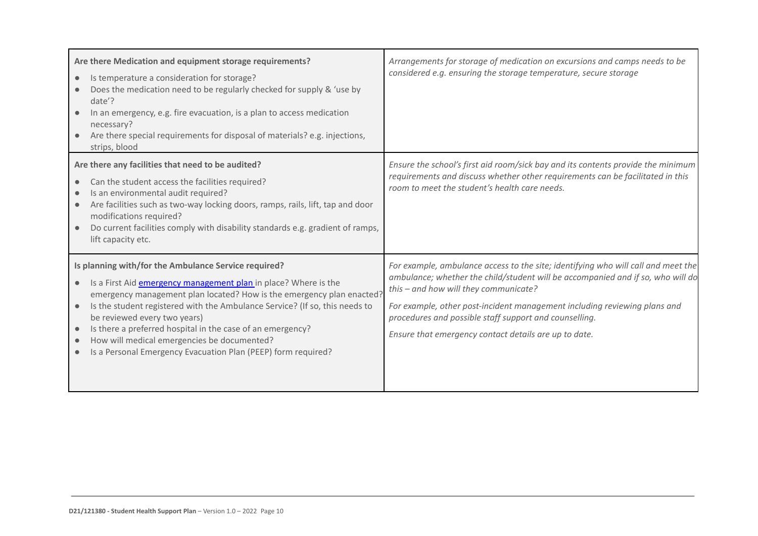| Are there Medication and equipment storage requirements?<br>Is temperature a consideration for storage?<br>$\bullet$<br>Does the medication need to be regularly checked for supply & 'use by<br>date'?<br>In an emergency, e.g. fire evacuation, is a plan to access medication<br>necessary?<br>Are there special requirements for disposal of materials? e.g. injections,<br>strips, blood                                                                                                                           | Arrangements for storage of medication on excursions and camps needs to be<br>considered e.g. ensuring the storage temperature, secure storage                                                                                                                                                                                                                                                                |
|-------------------------------------------------------------------------------------------------------------------------------------------------------------------------------------------------------------------------------------------------------------------------------------------------------------------------------------------------------------------------------------------------------------------------------------------------------------------------------------------------------------------------|---------------------------------------------------------------------------------------------------------------------------------------------------------------------------------------------------------------------------------------------------------------------------------------------------------------------------------------------------------------------------------------------------------------|
| Are there any facilities that need to be audited?<br>Can the student access the facilities required?<br>$\bullet$<br>Is an environmental audit required?<br>Are facilities such as two-way locking doors, ramps, rails, lift, tap and door<br>$\bullet$<br>modifications required?<br>Do current facilities comply with disability standards e.g. gradient of ramps,<br>lift capacity etc.                                                                                                                              | Ensure the school's first aid room/sick bay and its contents provide the minimum<br>requirements and discuss whether other requirements can be facilitated in this<br>room to meet the student's health care needs.                                                                                                                                                                                           |
| Is planning with/for the Ambulance Service required?<br>Is a First Aid emergency management plan in place? Where is the<br>emergency management plan located? How is the emergency plan enacted?<br>Is the student registered with the Ambulance Service? (If so, this needs to<br>$\bullet$<br>be reviewed every two years)<br>Is there a preferred hospital in the case of an emergency?<br>How will medical emergencies be documented?<br>$\bullet$<br>Is a Personal Emergency Evacuation Plan (PEEP) form required? | For example, ambulance access to the site; identifying who will call and meet the<br>ambulance; whether the child/student will be accompanied and if so, who will do<br>this - and how will they communicate?<br>For example, other post-incident management including reviewing plans and<br>procedures and possible staff support and counselling.<br>Ensure that emergency contact details are up to date. |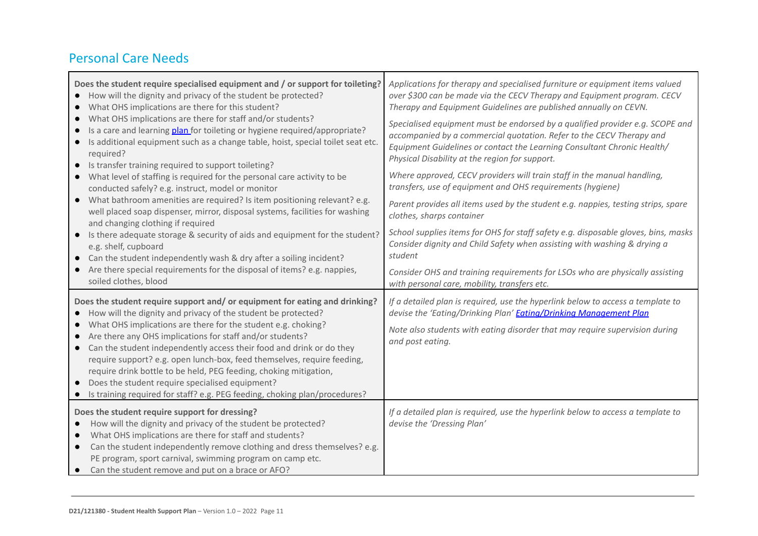#### Personal Care Needs

| Does the student require specialised equipment and / or support for toileting?<br>How will the dignity and privacy of the student be protected?<br>What OHS implications are there for this student?<br>What OHS implications are there for staff and/or students?<br>Is a care and learning plan for toileting or hygiene required/appropriate?<br>Is additional equipment such as a change table, hoist, special toilet seat etc.<br>required?<br>Is transfer training required to support toileting?<br>What level of staffing is required for the personal care activity to be<br>conducted safely? e.g. instruct, model or monitor<br>What bathroom amenities are required? Is item positioning relevant? e.g.<br>$\bullet$<br>well placed soap dispenser, mirror, disposal systems, facilities for washing<br>and changing clothing if required<br>Is there adequate storage & security of aids and equipment for the student?<br>$\bullet$<br>e.g. shelf, cupboard<br>Can the student independently wash & dry after a soiling incident?<br>Are there special requirements for the disposal of items? e.g. nappies, | Applications for therapy and specialised furniture or equipment items valued<br>over \$300 can be made via the CECV Therapy and Equipment program. CECV<br>Therapy and Equipment Guidelines are published annually on CEVN.<br>Specialised equipment must be endorsed by a qualified provider e.g. SCOPE and<br>accompanied by a commercial quotation. Refer to the CECV Therapy and<br>Equipment Guidelines or contact the Learning Consultant Chronic Health/<br>Physical Disability at the region for support.<br>Where approved, CECV providers will train staff in the manual handling,<br>transfers, use of equipment and OHS requirements (hygiene)<br>Parent provides all items used by the student e.g. nappies, testing strips, spare<br>clothes, sharps container<br>School supplies items for OHS for staff safety e.g. disposable gloves, bins, masks<br>Consider dignity and Child Safety when assisting with washing & drying a<br>student |
|----------------------------------------------------------------------------------------------------------------------------------------------------------------------------------------------------------------------------------------------------------------------------------------------------------------------------------------------------------------------------------------------------------------------------------------------------------------------------------------------------------------------------------------------------------------------------------------------------------------------------------------------------------------------------------------------------------------------------------------------------------------------------------------------------------------------------------------------------------------------------------------------------------------------------------------------------------------------------------------------------------------------------------------------------------------------------------------------------------------------------|-----------------------------------------------------------------------------------------------------------------------------------------------------------------------------------------------------------------------------------------------------------------------------------------------------------------------------------------------------------------------------------------------------------------------------------------------------------------------------------------------------------------------------------------------------------------------------------------------------------------------------------------------------------------------------------------------------------------------------------------------------------------------------------------------------------------------------------------------------------------------------------------------------------------------------------------------------------|
| soiled clothes, blood<br>Does the student require support and/or equipment for eating and drinking?<br>How will the dignity and privacy of the student be protected?<br>$\bullet$<br>What OHS implications are there for the student e.g. choking?<br>$\bullet$<br>Are there any OHS implications for staff and/or students?<br>Can the student independently access their food and drink or do they<br>$\bullet$<br>require support? e.g. open lunch-box, feed themselves, require feeding,                                                                                                                                                                                                                                                                                                                                                                                                                                                                                                                                                                                                                               | Consider OHS and training requirements for LSOs who are physically assisting<br>with personal care, mobility, transfers etc.<br>If a detailed plan is required, use the hyperlink below to access a template to<br>devise the 'Eating/Drinking Plan' <b>Eating/Drinking Management Plan</b><br>Note also students with eating disorder that may require supervision during<br>and post eating.                                                                                                                                                                                                                                                                                                                                                                                                                                                                                                                                                            |
| require drink bottle to be held, PEG feeding, choking mitigation,<br>Does the student require specialised equipment?<br>Is training required for staff? e.g. PEG feeding, choking plan/procedures?                                                                                                                                                                                                                                                                                                                                                                                                                                                                                                                                                                                                                                                                                                                                                                                                                                                                                                                         |                                                                                                                                                                                                                                                                                                                                                                                                                                                                                                                                                                                                                                                                                                                                                                                                                                                                                                                                                           |
| Does the student require support for dressing?<br>How will the dignity and privacy of the student be protected?<br>What OHS implications are there for staff and students?<br>Can the student independently remove clothing and dress themselves? e.g.<br>$\bullet$<br>PE program, sport carnival, swimming program on camp etc.<br>Can the student remove and put on a brace or AFO?<br>$\bullet$                                                                                                                                                                                                                                                                                                                                                                                                                                                                                                                                                                                                                                                                                                                         | If a detailed plan is required, use the hyperlink below to access a template to<br>devise the 'Dressing Plan'                                                                                                                                                                                                                                                                                                                                                                                                                                                                                                                                                                                                                                                                                                                                                                                                                                             |